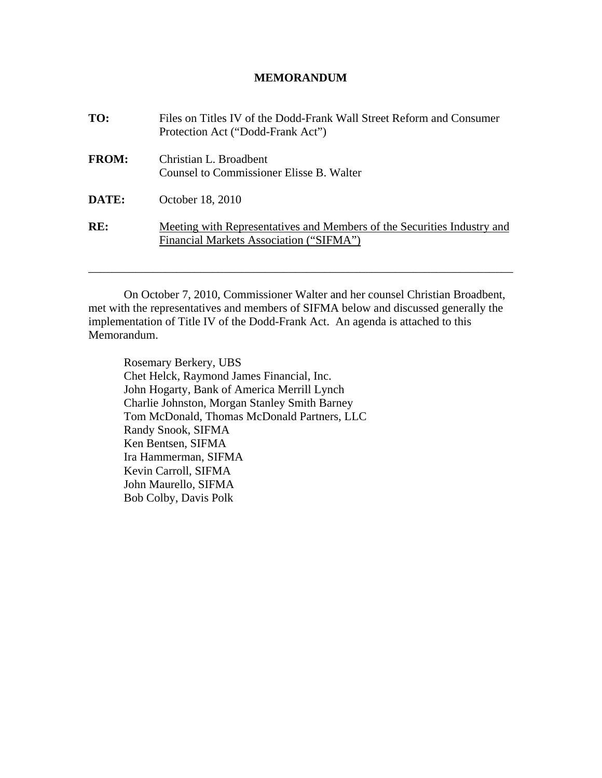## **MEMORANDUM**

| TO:          | Files on Titles IV of the Dodd-Frank Wall Street Reform and Consumer<br>Protection Act ("Dodd-Frank Act")          |
|--------------|--------------------------------------------------------------------------------------------------------------------|
| <b>FROM:</b> | Christian L. Broadbent<br>Counsel to Commissioner Elisse B. Walter                                                 |
| DATE:        | October 18, 2010                                                                                                   |
| RE:          | Meeting with Representatives and Members of the Securities Industry and<br>Financial Markets Association ("SIFMA") |

On October 7, 2010, Commissioner Walter and her counsel Christian Broadbent, met with the representatives and members of SIFMA below and discussed generally the implementation of Title IV of the Dodd-Frank Act. An agenda is attached to this Memorandum.

\_\_\_\_\_\_\_\_\_\_\_\_\_\_\_\_\_\_\_\_\_\_\_\_\_\_\_\_\_\_\_\_\_\_\_\_\_\_\_\_\_\_\_\_\_\_\_\_\_\_\_\_\_\_\_\_\_\_\_\_\_\_\_\_\_\_\_\_\_\_\_\_

Rosemary Berkery, UBS Chet Helck, Raymond James Financial, Inc. John Hogarty, Bank of America Merrill Lynch Charlie Johnston, Morgan Stanley Smith Barney Tom McDonald, Thomas McDonald Partners, LLC Randy Snook, SIFMA Ken Bentsen, SIFMA Ira Hammerman, SIFMA Kevin Carroll, SIFMA John Maurello, SIFMA Bob Colby, Davis Polk